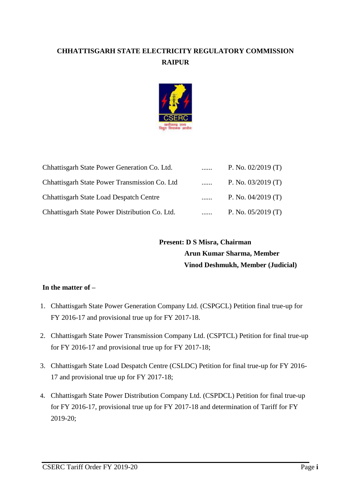# **CHHATTISGARH STATE ELECTRICITY REGULATORY COMMISSION RAIPUR**



| Chhattisgarh State Power Generation Co. Ltd.   |          | P. No. $02/2019$ (T) |
|------------------------------------------------|----------|----------------------|
| Chhattisgarh State Power Transmission Co. Ltd  | .        | P. No. $03/2019$ (T) |
| <b>Chhattisgarh State Load Despatch Centre</b> | $\cdots$ | P. No. $04/2019$ (T) |
| Chhattisgarh State Power Distribution Co. Ltd. |          | P. No. $05/2019$ (T) |

 **Present: D S Misra, Chairman Arun Kumar Sharma, Member Vinod Deshmukh, Member (Judicial)**

## **In the matter of –**

- 1. Chhattisgarh State Power Generation Company Ltd. (CSPGCL) Petition final true-up for FY 2016-17 and provisional true up for FY 2017-18.
- 2. Chhattisgarh State Power Transmission Company Ltd. (CSPTCL) Petition for final true-up for FY 2016-17 and provisional true up for FY 2017-18;
- 3. Chhattisgarh State Load Despatch Centre (CSLDC) Petition for final true-up for FY 2016- 17 and provisional true up for FY 2017-18;
- **4.** Chhattisgarh State Power Distribution Company Ltd. (CSPDCL) Petition for final true-up for FY 2016-17, provisional true up for FY 2017-18 and determination of Tariff for FY 2019-20;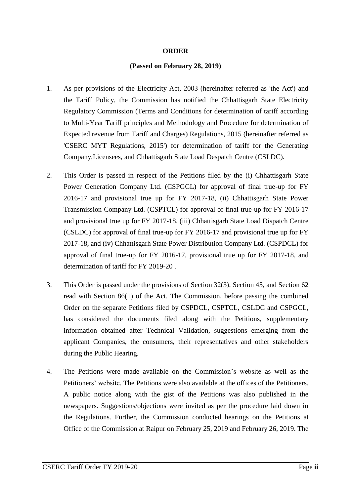### **ORDER**

### **(Passed on February 28, 2019)**

- 1. As per provisions of the Electricity Act, 2003 (hereinafter referred as 'the Act') and the Tariff Policy, the Commission has notified the Chhattisgarh State Electricity Regulatory Commission (Terms and Conditions for determination of tariff according to Multi-Year Tariff principles and Methodology and Procedure for determination of Expected revenue from Tariff and Charges) Regulations, 2015 (hereinafter referred as 'CSERC MYT Regulations, 2015') for determination of tariff for the Generating Company,Licensees, and Chhattisgarh State Load Despatch Centre (CSLDC).
- 2. This Order is passed in respect of the Petitions filed by the (i) Chhattisgarh State Power Generation Company Ltd. (CSPGCL) for approval of final true-up for FY 2016-17 and provisional true up for FY 2017-18, (ii) Chhattisgarh State Power Transmission Company Ltd. (CSPTCL) for approval of final true-up for FY 2016-17 and provisional true up for FY 2017-18, (iii) Chhattisgarh State Load Dispatch Centre (CSLDC) for approval of final true-up for FY 2016-17 and provisional true up for FY 2017-18, and (iv) Chhattisgarh State Power Distribution Company Ltd. (CSPDCL) for approval of final true-up for FY 2016-17, provisional true up for FY 2017-18, and determination of tariff for FY 2019-20 .
- 3. This Order is passed under the provisions of Section 32(3), Section 45, and Section 62 read with Section 86(1) of the Act. The Commission, before passing the combined Order on the separate Petitions filed by CSPDCL, CSPTCL, CSLDC and CSPGCL, has considered the documents filed along with the Petitions, supplementary information obtained after Technical Validation, suggestions emerging from the applicant Companies, the consumers, their representatives and other stakeholders during the Public Hearing.
- 4. The Petitions were made available on the Commission's website as well as the Petitioners' website. The Petitions were also available at the offices of the Petitioners. A public notice along with the gist of the Petitions was also published in the newspapers. Suggestions/objections were invited as per the procedure laid down in the Regulations. Further, the Commission conducted hearings on the Petitions at Office of the Commission at Raipur on February 25, 2019 and February 26, 2019. The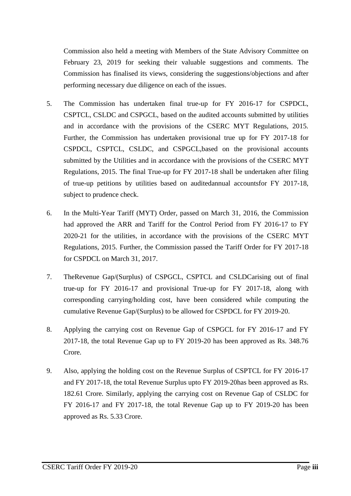Commission also held a meeting with Members of the State Advisory Committee on February 23, 2019 for seeking their valuable suggestions and comments. The Commission has finalised its views, considering the suggestions/objections and after performing necessary due diligence on each of the issues.

- 5. The Commission has undertaken final true-up for FY 2016-17 for CSPDCL, CSPTCL, CSLDC and CSPGCL, based on the audited accounts submitted by utilities and in accordance with the provisions of the CSERC MYT Regulations, 2015. Further, the Commission has undertaken provisional true up for FY 2017-18 for CSPDCL, CSPTCL, CSLDC, and CSPGCL,based on the provisional accounts submitted by the Utilities and in accordance with the provisions of the CSERC MYT Regulations, 2015. The final True-up for FY 2017-18 shall be undertaken after filing of true-up petitions by utilities based on auditedannual accountsfor FY 2017-18, subject to prudence check.
- 6. In the Multi-Year Tariff (MYT) Order, passed on March 31, 2016, the Commission had approved the ARR and Tariff for the Control Period from FY 2016-17 to FY 2020-21 for the utilities, in accordance with the provisions of the CSERC MYT Regulations, 2015. Further, the Commission passed the Tariff Order for FY 2017-18 for CSPDCL on March 31, 2017.
- 7. TheRevenue Gap/(Surplus) of CSPGCL, CSPTCL and CSLDCarising out of final true-up for FY 2016-17 and provisional True-up for FY 2017-18, along with corresponding carrying/holding cost, have been considered while computing the cumulative Revenue Gap/(Surplus) to be allowed for CSPDCL for FY 2019-20.
- 8. Applying the carrying cost on Revenue Gap of CSPGCL for FY 2016-17 and FY 2017-18, the total Revenue Gap up to FY 2019-20 has been approved as Rs. 348.76 Crore.
- 9. Also, applying the holding cost on the Revenue Surplus of CSPTCL for FY 2016-17 and FY 2017-18, the total Revenue Surplus upto FY 2019-20has been approved as Rs. 182.61 Crore. Similarly, applying the carrying cost on Revenue Gap of CSLDC for FY 2016-17 and FY 2017-18, the total Revenue Gap up to FY 2019-20 has been approved as Rs. 5.33 Crore.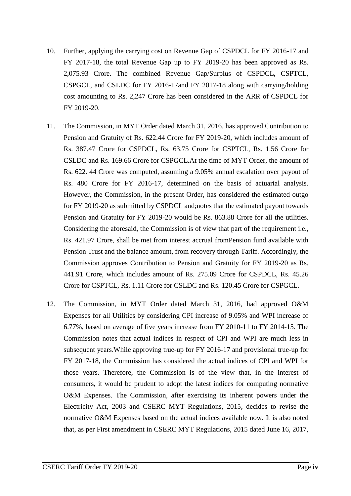- 10. Further, applying the carrying cost on Revenue Gap of CSPDCL for FY 2016-17 and FY 2017-18, the total Revenue Gap up to FY 2019-20 has been approved as Rs. 2,075.93 Crore. The combined Revenue Gap/Surplus of CSPDCL, CSPTCL, CSPGCL, and CSLDC for FY 2016-17and FY 2017-18 along with carrying/holding cost amounting to Rs. 2,247 Crore has been considered in the ARR of CSPDCL for FY 2019-20.
- 11. The Commission, in MYT Order dated March 31, 2016, has approved Contribution to Pension and Gratuity of Rs. 622.44 Crore for FY 2019-20, which includes amount of Rs. 387.47 Crore for CSPDCL, Rs. 63.75 Crore for CSPTCL, Rs. 1.56 Crore for CSLDC and Rs. 169.66 Crore for CSPGCL.At the time of MYT Order, the amount of Rs. 622. 44 Crore was computed, assuming a 9.05% annual escalation over payout of Rs. 480 Crore for FY 2016-17, determined on the basis of actuarial analysis. However, the Commission, in the present Order, has considered the estimated outgo for FY 2019-20 as submitted by CSPDCL and;notes that the estimated payout towards Pension and Gratuity for FY 2019-20 would be Rs. 863.88 Crore for all the utilities. Considering the aforesaid, the Commission is of view that part of the requirement i.e., Rs. 421.97 Crore, shall be met from interest accrual fromPension fund available with Pension Trust and the balance amount, from recovery through Tariff. Accordingly, the Commission approves Contribution to Pension and Gratuity for FY 2019-20 as Rs. 441.91 Crore, which includes amount of Rs. 275.09 Crore for CSPDCL, Rs. 45.26 Crore for CSPTCL, Rs. 1.11 Crore for CSLDC and Rs. 120.45 Crore for CSPGCL.
- 12. The Commission, in MYT Order dated March 31, 2016, had approved O&M Expenses for all Utilities by considering CPI increase of 9.05% and WPI increase of 6.77%, based on average of five years increase from FY 2010-11 to FY 2014-15. The Commission notes that actual indices in respect of CPI and WPI are much less in subsequent years.While approving true-up for FY 2016-17 and provisional true-up for FY 2017-18, the Commission has considered the actual indices of CPI and WPI for those years. Therefore, the Commission is of the view that, in the interest of consumers, it would be prudent to adopt the latest indices for computing normative O&M Expenses. The Commission, after exercising its inherent powers under the Electricity Act, 2003 and CSERC MYT Regulations, 2015, decides to revise the normative O&M Expenses based on the actual indices available now. It is also noted that, as per First amendment in CSERC MYT Regulations, 2015 dated June 16, 2017,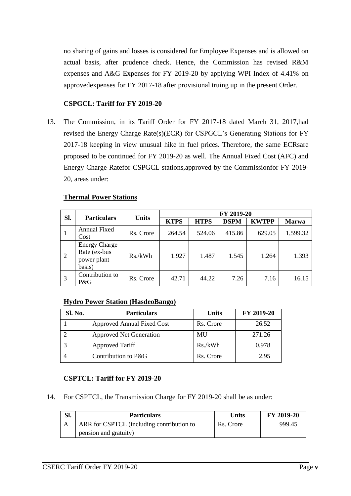no sharing of gains and losses is considered for Employee Expenses and is allowed on actual basis, after prudence check. Hence, the Commission has revised R&M expenses and A&G Expenses for FY 2019-20 by applying WPI Index of 4.41% on approvedexpenses for FY 2017-18 after provisional truing up in the present Order.

# **CSPGCL: Tariff for FY 2019-20**

13. The Commission, in its Tariff Order for FY 2017-18 dated March 31, 2017,had revised the Energy Charge Rate(s)(ECR) for CSPGCL's Generating Stations for FY 2017-18 keeping in view unusual hike in fuel prices. Therefore, the same ECRsare proposed to be continued for FY 2019-20 as well. The Annual Fixed Cost (AFC) and Energy Charge Ratefor CSPGCL stations,approved by the Commissionfor FY 2019- 20, areas under:

## **Thermal Power Stations**

|     | <b>Units</b><br><b>Particulars</b>                            | FY 2019-20 |             |             |             |              |              |
|-----|---------------------------------------------------------------|------------|-------------|-------------|-------------|--------------|--------------|
| Sl. |                                                               |            | <b>KTPS</b> | <b>HTPS</b> | <b>DSPM</b> | <b>KWTPP</b> | <b>Marwa</b> |
| -1  | <b>Annual Fixed</b><br>Cost                                   | Rs. Crore  | 264.54      | 524.06      | 415.86      | 629.05       | 1,599.32     |
| 2   | <b>Energy Charge</b><br>Rate (ex-bus<br>power plant<br>basis) | Rs./kWh    | 1.927       | 1.487       | 1.545       | 1.264        | 1.393        |
| 3   | Contribution to<br>P&G                                        | Rs. Crore  | 42.71       | 44.22       | 7.26        | 7.16         | 16.15        |

## **Hydro Power Station (HasdeoBango)**

| Sl. No. | <b>Particulars</b>             | <b>Units</b> | FY 2019-20 |
|---------|--------------------------------|--------------|------------|
|         | Approved Annual Fixed Cost     | Rs. Crore    | 26.52      |
|         | <b>Approved Net Generation</b> | MU           | 271.26     |
|         | <b>Approved Tariff</b>         | Rs./kWh      | 0.978      |
|         | Contribution to P&G            | Rs. Crore    | 2.95       |

# **CSPTCL: Tariff for FY 2019-20**

14. For CSPTCL, the Transmission Charge for FY 2019-20 shall be as under:

| SI. | <b>Particulars</b>                        | Units     | FY 2019-20 |
|-----|-------------------------------------------|-----------|------------|
| А   | ARR for CSPTCL (including contribution to | Rs. Crore | 999.45     |
|     | pension and gratuity)                     |           |            |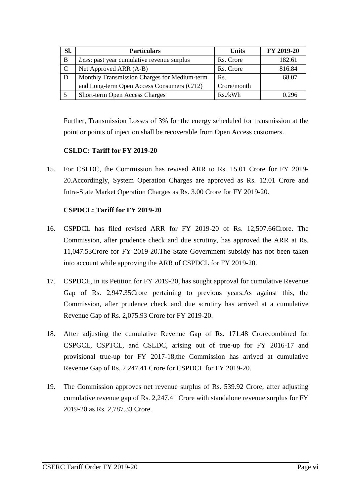| Sl. | <b>Particulars</b>                           | <b>Units</b> | FY 2019-20 |
|-----|----------------------------------------------|--------------|------------|
| B   | Less: past year cumulative revenue surplus   | Rs. Crore    | 182.61     |
| C   | Net Approved ARR (A-B)                       | Rs. Crore    | 816.84     |
|     | Monthly Transmission Charges for Medium-term | Rs.          | 68.07      |
|     | and Long-term Open Access Consumers (C/12)   | Crore/month  |            |
|     | Short-term Open Access Charges               | Rs./kWh      | በ 296      |

Further, Transmission Losses of 3% for the energy scheduled for transmission at the point or points of injection shall be recoverable from Open Access customers.

# **CSLDC: Tariff for FY 2019-20**

15. For CSLDC, the Commission has revised ARR to Rs. 15.01 Crore for FY 2019- 20.Accordingly, System Operation Charges are approved as Rs. 12.01 Crore and Intra-State Market Operation Charges as Rs. 3.00 Crore for FY 2019-20.

## **CSPDCL: Tariff for FY 2019-20**

- 16. CSPDCL has filed revised ARR for FY 2019-20 of Rs. 12,507.66Crore. The Commission, after prudence check and due scrutiny, has approved the ARR at Rs. 11,047.53Crore for FY 2019-20.The State Government subsidy has not been taken into account while approving the ARR of CSPDCL for FY 2019-20.
- 17. CSPDCL, in its Petition for FY 2019-20, has sought approval for cumulative Revenue Gap of Rs. 2,947.35Crore pertaining to previous years.As against this, the Commission, after prudence check and due scrutiny has arrived at a cumulative Revenue Gap of Rs. 2,075.93 Crore for FY 2019-20.
- 18. After adjusting the cumulative Revenue Gap of Rs. 171.48 Crorecombined for CSPGCL, CSPTCL, and CSLDC, arising out of true-up for FY 2016-17 and provisional true-up for FY 2017-18,the Commission has arrived at cumulative Revenue Gap of Rs. 2,247.41 Crore for CSPDCL for FY 2019-20.
- 19. The Commission approves net revenue surplus of Rs. 539.92 Crore, after adjusting cumulative revenue gap of Rs. 2,247.41 Crore with standalone revenue surplus for FY 2019-20 as Rs. 2,787.33 Crore.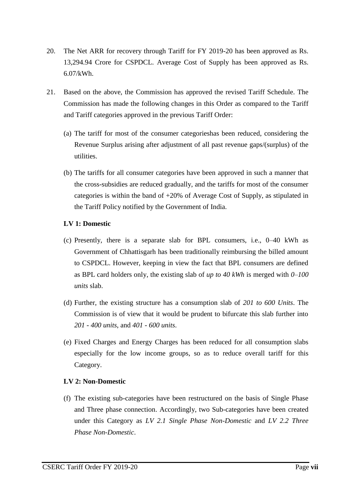- 20. The Net ARR for recovery through Tariff for FY 2019-20 has been approved as Rs. 13,294.94 Crore for CSPDCL. Average Cost of Supply has been approved as Rs. 6.07/kWh.
- 21. Based on the above, the Commission has approved the revised Tariff Schedule. The Commission has made the following changes in this Order as compared to the Tariff and Tariff categories approved in the previous Tariff Order:
	- (a) The tariff for most of the consumer categorieshas been reduced, considering the Revenue Surplus arising after adjustment of all past revenue gaps/(surplus) of the utilities.
	- (b) The tariffs for all consumer categories have been approved in such a manner that the cross-subsidies are reduced gradually, and the tariffs for most of the consumer categories is within the band of +20% of Average Cost of Supply, as stipulated in the Tariff Policy notified by the Government of India.

## **LV 1: Domestic**

- (c) Presently, there is a separate slab for BPL consumers, i.e., 0–40 kWh as Government of Chhattisgarh has been traditionally reimbursing the billed amount to CSPDCL. However, keeping in view the fact that BPL consumers are defined as BPL card holders only, the existing slab of *up to 40 kWh* is merged with *0–100 units* slab.
- (d) Further, the existing structure has a consumption slab of *201 to 600 Units*. The Commission is of view that it would be prudent to bifurcate this slab further into *201 - 400 units*, and *401 - 600 units*.
- (e) Fixed Charges and Energy Charges has been reduced for all consumption slabs especially for the low income groups, so as to reduce overall tariff for this Category.

## **LV 2: Non-Domestic**

(f) The existing sub-categories have been restructured on the basis of Single Phase and Three phase connection. Accordingly, two Sub-categories have been created under this Category as *LV 2.1 Single Phase Non-Domestic* and *LV 2.2 Three Phase Non-Domestic*.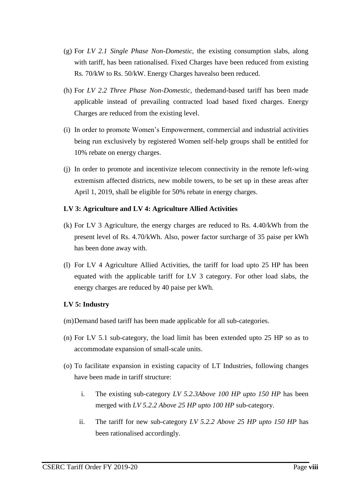- (g) For *LV 2.1 Single Phase Non-Domestic,* the existing consumption slabs, along with tariff, has been rationalised. Fixed Charges have been reduced from existing Rs. 70/kW to Rs. 50/kW. Energy Charges havealso been reduced.
- (h) For *LV 2.2 Three Phase Non-Domestic,* thedemand-based tariff has been made applicable instead of prevailing contracted load based fixed charges. Energy Charges are reduced from the existing level.
- (i) In order to promote Women's Empowerment, commercial and industrial activities being run exclusively by registered Women self-help groups shall be entitled for 10% rebate on energy charges.
- (j) In order to promote and incentivize telecom connectivity in the remote left-wing extremism affected districts, new mobile towers, to be set up in these areas after April 1, 2019, shall be eligible for 50% rebate in energy charges.

### **LV 3: Agriculture and LV 4: Agriculture Allied Activities**

- (k) For LV 3 Agriculture, the energy charges are reduced to Rs. 4.40/kWh from the present level of Rs. 4.70/kWh. Also, power factor surcharge of 35 paise per kWh has been done away with.
- (l) For LV 4 Agriculture Allied Activities, the tariff for load upto 25 HP has been equated with the applicable tariff for LV 3 category. For other load slabs, the energy charges are reduced by 40 paise per kWh.

## **LV 5: Industry**

- (m)Demand based tariff has been made applicable for all sub-categories.
- (n) For LV 5.1 sub-category, the load limit has been extended upto 25 HP so as to accommodate expansion of small-scale units.
- (o) To facilitate expansion in existing capacity of LT Industries, following changes have been made in tariff structure:
	- i. The existing sub-category *LV 5.2.3Above 100 HP upto 150 HP* has been merged with *LV 5.2.2 Above 25 HP upto 100 HP* sub-category.
	- ii. The tariff for new sub-category *LV 5.2.2 Above 25 HP upto 150 HP* has been rationalised accordingly.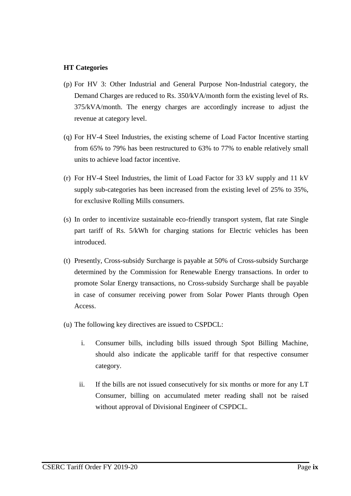## **HT Categories**

- (p) For HV 3: Other Industrial and General Purpose Non-Industrial category, the Demand Charges are reduced to Rs. 350/kVA/month form the existing level of Rs. 375/kVA/month. The energy charges are accordingly increase to adjust the revenue at category level.
- (q) For HV-4 Steel Industries, the existing scheme of Load Factor Incentive starting from 65% to 79% has been restructured to 63% to 77% to enable relatively small units to achieve load factor incentive.
- (r) For HV-4 Steel Industries, the limit of Load Factor for 33 kV supply and 11 kV supply sub-categories has been increased from the existing level of 25% to 35%, for exclusive Rolling Mills consumers.
- (s) In order to incentivize sustainable eco-friendly transport system, flat rate Single part tariff of Rs. 5/kWh for charging stations for Electric vehicles has been introduced.
- (t) Presently, Cross-subsidy Surcharge is payable at 50% of Cross-subsidy Surcharge determined by the Commission for Renewable Energy transactions. In order to promote Solar Energy transactions, no Cross-subsidy Surcharge shall be payable in case of consumer receiving power from Solar Power Plants through Open Access.
- (u) The following key directives are issued to CSPDCL:
	- i. Consumer bills, including bills issued through Spot Billing Machine, should also indicate the applicable tariff for that respective consumer category.
	- ii. If the bills are not issued consecutively for six months or more for any LT Consumer, billing on accumulated meter reading shall not be raised without approval of Divisional Engineer of CSPDCL.